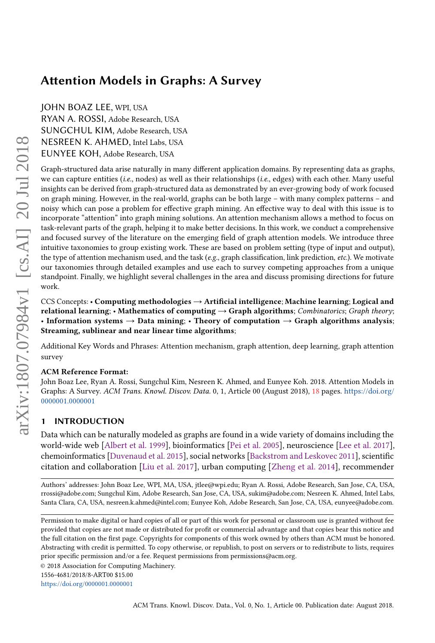# Attention Models in Graphs: A Survey

JOHN BOAZ LEE, WPI, USA

RYAN A. ROSSI, Adobe Research, USA SUNGCHUL KIM, Adobe Research, USA NESREEN K. AHMED, Intel Labs, USA EUNYEE KOH, Adobe Research, USA

Graph-structured data arise naturally in many different application domains. By representing data as graphs, we can capture entities (i.e., nodes) as well as their relationships (i.e., edges) with each other. Many useful insights can be derived from graph-structured data as demonstrated by an ever-growing body of work focused on graph mining. However, in the real-world, graphs can be both large – with many complex patterns – and noisy which can pose a problem for effective graph mining. An effective way to deal with this issue is to incorporate "attention" into graph mining solutions. An attention mechanism allows a method to focus on task-relevant parts of the graph, helping it to make better decisions. In this work, we conduct a comprehensive and focused survey of the literature on the emerging field of graph attention models. We introduce three intuitive taxonomies to group existing work. These are based on problem setting (type of input and output), the type of attention mechanism used, and the task (e.g., graph classification, link prediction, etc.). We motivate our taxonomies through detailed examples and use each to survey competing approaches from a unique standpoint. Finally, we highlight several challenges in the area and discuss promising directions for future work.

CCS Concepts: • Computing methodologies  $\rightarrow$  Artificial intelligence; Machine learning; Logical and relational learning; • Mathematics of computing  $\rightarrow$  Graph algorithms; Combinatorics; Graph theory; • Information systems  $\rightarrow$  Data mining; • Theory of computation  $\rightarrow$  Graph algorithms analysis; Streaming, sublinear and near linear time algorithms;

Additional Key Words and Phrases: Attention mechanism, graph attention, deep learning, graph attention survey

## ACM Reference Format:

John Boaz Lee, Ryan A. Rossi, Sungchul Kim, Nesreen K. Ahmed, and Eunyee Koh. 2018. Attention Models in Graphs: A Survey. ACM Trans. Knowl. Discov. Data. 0, 1, Article 00 (August 2018), [18](#page-17-0) pages. [https://doi.org/](https://doi.org/0000001.0000001) [0000001.0000001](https://doi.org/0000001.0000001)

## 1 INTRODUCTION

Data which can be naturally modeled as graphs are found in a wide variety of domains including the world-wide web [\[Albert et al.](#page-16-0) [1999\]](#page-16-0), bioinformatics [\[Pei et al.](#page-17-1) [2005\]](#page-17-1), neuroscience [\[Lee et al.](#page-17-2) [2017\]](#page-17-2), chemoinformatics [\[Duvenaud et al.](#page-16-1) [2015\]](#page-16-1), social networks [\[Backstrom and Leskovec](#page-16-2) [2011\]](#page-16-2), scientific citation and collaboration [\[Liu et al.](#page-17-3) [2017\]](#page-17-3), urban computing [\[Zheng et al.](#page-18-0) [2014\]](#page-18-0), recommender

Authors' addresses: John Boaz Lee, WPI, MA, USA, jtlee@wpi.edu; Ryan A. Rossi, Adobe Research, San Jose, CA, USA, rrossi@adobe.com; Sungchul Kim, Adobe Research, San Jose, CA, USA, sukim@adobe.com; Nesreen K. Ahmed, Intel Labs, Santa Clara, CA, USA, nesreen.k.ahmed@intel.com; Eunyee Koh, Adobe Research, San Jose, CA, USA, eunyee@adobe.com.

Permission to make digital or hard copies of all or part of this work for personal or classroom use is granted without fee provided that copies are not made or distributed for profit or commercial advantage and that copies bear this notice and the full citation on the first page. Copyrights for components of this work owned by others than ACM must be honored. Abstracting with credit is permitted. To copy otherwise, or republish, to post on servers or to redistribute to lists, requires prior specific permission and/or a fee. Request permissions from permissions@acm.org.

<sup>©</sup> 2018 Association for Computing Machinery.

<sup>1556-4681/2018/8-</sup>ART00 \$15.00

<https://doi.org/0000001.0000001>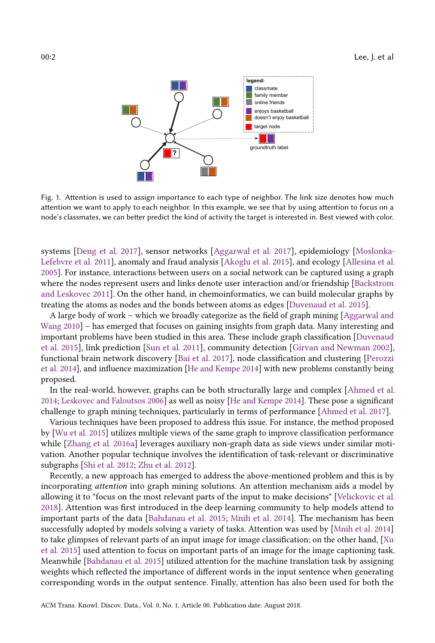<span id="page-1-0"></span>

Fig. 1. Attention is used to assign importance to each type of neighbor. The link size denotes how much attention we want to apply to each neighbor. In this example, we see that by using attention to focus on a node's classmates, we can better predict the kind of activity the target is interested in. Best viewed with color.

systems [\[Deng et al.](#page-16-3) [2017\]](#page-16-3), sensor networks [\[Aggarwal et al.](#page-16-4) [2017\]](#page-16-4), epidemiology [\[Moslonka-](#page-17-4)[Lefebvre et al.](#page-17-4) [2011\]](#page-17-4), anomaly and fraud analysis [\[Akoglu et al.](#page-16-5) [2015\]](#page-16-5), and ecology [\[Allesina et al.](#page-16-6) [2005\]](#page-16-6). For instance, interactions between users on a social network can be captured using a graph where the nodes represent users and links denote user interaction and/or friendship [\[Backstrom](#page-16-2) [and Leskovec](#page-16-2) [2011\]](#page-16-2). On the other hand, in chemoinformatics, we can build molecular graphs by treating the atoms as nodes and the bonds between atoms as edges [\[Duvenaud et al.](#page-16-1) [2015\]](#page-16-1).

A large body of work – which we broadly categorize as the field of graph mining [\[Aggarwal and](#page-16-7) [Wang](#page-16-7) [2010\]](#page-16-7) – has emerged that focuses on gaining insights from graph data. Many interesting and important problems have been studied in this area. These include graph classification [\[Duvenaud](#page-16-1) [et al.](#page-16-1) [2015\]](#page-16-1), link prediction [\[Sun et al.](#page-17-5) [2011\]](#page-17-5), community detection [\[Girvan and Newman](#page-16-8) [2002\]](#page-16-8), functional brain network discovery [\[Bai et al.](#page-16-9) [2017\]](#page-16-9), node classification and clustering [\[Perozzi](#page-17-6) [et al.](#page-17-6) [2014\]](#page-17-6), and influence maximization [\[He and Kempe](#page-17-7) [2014\]](#page-17-7) with new problems constantly being proposed.

In the real-world, however, graphs can be both structurally large and complex [\[Ahmed et al.](#page-16-10) [2014;](#page-16-10) [Leskovec and Faloutsos](#page-17-8) [2006\]](#page-17-8) as well as noisy [\[He and Kempe](#page-17-7) [2014\]](#page-17-7). These pose a significant challenge to graph mining techniques, particularly in terms of performance [\[Ahmed et al.](#page-16-11) [2017\]](#page-16-11).

Various techniques have been proposed to address this issue. For instance, the method proposed by [\[Wu et al.](#page-18-1) [2015\]](#page-18-1) utilizes multiple views of the same graph to improve classification performance while [\[Zhang et al.](#page-18-2) [2016a\]](#page-18-2) leverages auxiliary non-graph data as side views under similar motivation. Another popular technique involves the identification of task-relevant or discriminative subgraphs [\[Shi et al.](#page-17-9) [2012;](#page-17-9) [Zhu et al.](#page-18-3) [2012\]](#page-18-3).

Recently, a new approach has emerged to address the above-mentioned problem and this is by incorporating attention into graph mining solutions. An attention mechanism aids a model by allowing it to "focus on the most relevant parts of the input to make decisions" [\[Velickovic et al.](#page-18-4) [2018\]](#page-18-4). Attention was first introduced in the deep learning community to help models attend to important parts of the data [\[Bahdanau et al.](#page-16-12) [2015;](#page-16-12) [Mnih et al.](#page-17-10) [2014\]](#page-17-10). The mechanism has been successfully adopted by models solving a variety of tasks. Attention was used by [\[Mnih et al.](#page-17-10) [2014\]](#page-17-10) to take glimpses of relevant parts of an input image for image classification; on the other hand, [\[Xu](#page-18-5) [et al.](#page-18-5) [2015\]](#page-18-5) used attention to focus on important parts of an image for the image captioning task. Meanwhile [\[Bahdanau et al.](#page-16-12) [2015\]](#page-16-12) utilized attention for the machine translation task by assigning weights which reflected the importance of different words in the input sentence when generating corresponding words in the output sentence. Finally, attention has also been used for both the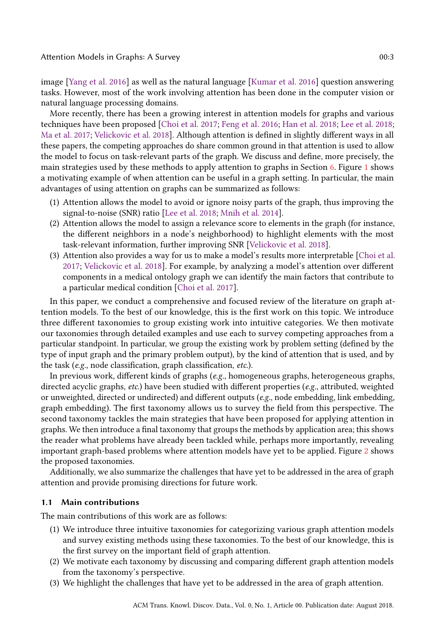image [\[Yang et al.](#page-18-6) [2016\]](#page-18-6) as well as the natural language [\[Kumar et al.](#page-17-11) [2016\]](#page-17-11) question answering tasks. However, most of the work involving attention has been done in the computer vision or natural language processing domains.

More recently, there has been a growing interest in attention models for graphs and various techniques have been proposed [\[Choi et al.](#page-16-13) [2017;](#page-16-13) [Feng et al.](#page-16-14) [2016;](#page-16-14) [Han et al.](#page-17-12) [2018;](#page-17-12) [Lee et al.](#page-17-13) [2018;](#page-17-13) [Ma et al.](#page-17-14) [2017;](#page-17-14) [Velickovic et al.](#page-18-4) [2018\]](#page-18-4). Although attention is defined in slightly different ways in all these papers, the competing approaches do share common ground in that attention is used to allow the model to focus on task-relevant parts of the graph. We discuss and define, more precisely, the main strategies used by these methods to apply attention to graphs in Section [6.](#page-12-0) Figure [1](#page-1-0) shows a motivating example of when attention can be useful in a graph setting. In particular, the main advantages of using attention on graphs can be summarized as follows:

- (1) Attention allows the model to avoid or ignore noisy parts of the graph, thus improving the signal-to-noise (SNR) ratio [\[Lee et al.](#page-17-13) [2018;](#page-17-13) [Mnih et al.](#page-17-10) [2014\]](#page-17-10).
- (2) Attention allows the model to assign a relevance score to elements in the graph (for instance, the different neighbors in a node's neighborhood) to highlight elements with the most task-relevant information, further improving SNR [\[Velickovic et al.](#page-18-4) [2018\]](#page-18-4).
- (3) Attention also provides a way for us to make a model's results more interpretable [\[Choi et al.](#page-16-13) [2017;](#page-16-13) [Velickovic et al.](#page-18-4) [2018\]](#page-18-4). For example, by analyzing a model's attention over different components in a medical ontology graph we can identify the main factors that contribute to a particular medical condition [\[Choi et al.](#page-16-13) [2017\]](#page-16-13).

In this paper, we conduct a comprehensive and focused review of the literature on graph attention models. To the best of our knowledge, this is the first work on this topic. We introduce three different taxonomies to group existing work into intuitive categories. We then motivate our taxonomies through detailed examples and use each to survey competing approaches from a particular standpoint. In particular, we group the existing work by problem setting (defined by the type of input graph and the primary problem output), by the kind of attention that is used, and by the task (e.g., node classification, graph classification, etc.).

In previous work, different kinds of graphs (e.g., homogeneous graphs, heterogeneous graphs, directed acyclic graphs, etc.) have been studied with different properties (e.g., attributed, weighted or unweighted, directed or undirected) and different outputs ( $e.g.,$  node embedding, link embedding, graph embedding). The first taxonomy allows us to survey the field from this perspective. The second taxonomy tackles the main strategies that have been proposed for applying attention in graphs. We then introduce a final taxonomy that groups the methods by application area; this shows the reader what problems have already been tackled while, perhaps more importantly, revealing important graph-based problems where attention models have yet to be applied. Figure [2](#page-3-0) shows the proposed taxonomies.

Additionally, we also summarize the challenges that have yet to be addressed in the area of graph attention and provide promising directions for future work.

#### 1.1 Main contributions

The main contributions of this work are as follows:

- (1) We introduce three intuitive taxonomies for categorizing various graph attention models and survey existing methods using these taxonomies. To the best of our knowledge, this is the first survey on the important field of graph attention.
- (2) We motivate each taxonomy by discussing and comparing different graph attention models from the taxonomy's perspective.
- (3) We highlight the challenges that have yet to be addressed in the area of graph attention.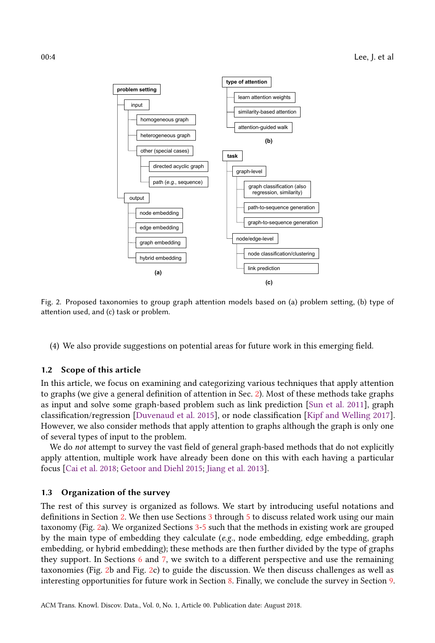<span id="page-3-0"></span>

Fig. 2. Proposed taxonomies to group graph attention models based on (a) problem setting, (b) type of attention used, and (c) task or problem.

(4) We also provide suggestions on potential areas for future work in this emerging field.

#### 1.2 Scope of this article

In this article, we focus on examining and categorizing various techniques that apply attention to graphs (we give a general definition of attention in Sec. [2\)](#page-4-0). Most of these methods take graphs as input and solve some graph-based problem such as link prediction [\[Sun et al.](#page-17-5) [2011\]](#page-17-5), graph classification/regression [\[Duvenaud et al.](#page-16-1) [2015\]](#page-16-1), or node classification [\[Kipf and Welling](#page-17-15) [2017\]](#page-17-15). However, we also consider methods that apply attention to graphs although the graph is only one of several types of input to the problem.

We do not attempt to survey the vast field of general graph-based methods that do not explicitly apply attention, multiple work have already been done on this with each having a particular focus [\[Cai et al.](#page-16-15) [2018;](#page-16-15) [Getoor and Diehl](#page-16-16) [2015;](#page-16-16) [Jiang et al.](#page-17-16) [2013\]](#page-17-16).

#### 1.3 Organization of the survey

The rest of this survey is organized as follows. We start by introducing useful notations and definitions in Section [2.](#page-4-0) We then use Sections [3](#page-5-0) through [5](#page-10-0) to discuss related work using our main taxonomy (Fig. [2a](#page-3-0)). We organized Sections [3-](#page-5-0)[5](#page-10-0) such that the methods in existing work are grouped by the main type of embedding they calculate  $(e.g.,\,node\,embedding,\,edge\,theta)$ , edge embedding, graph embedding, or hybrid embedding); these methods are then further divided by the type of graphs they support. In Sections [6](#page-12-0) and [7,](#page-13-0) we switch to a different perspective and use the remaining taxonomies (Fig. [2b](#page-3-0) and Fig. [2c](#page-3-0)) to guide the discussion. We then discuss challenges as well as interesting opportunities for future work in Section [8.](#page-14-0) Finally, we conclude the survey in Section [9.](#page-15-0)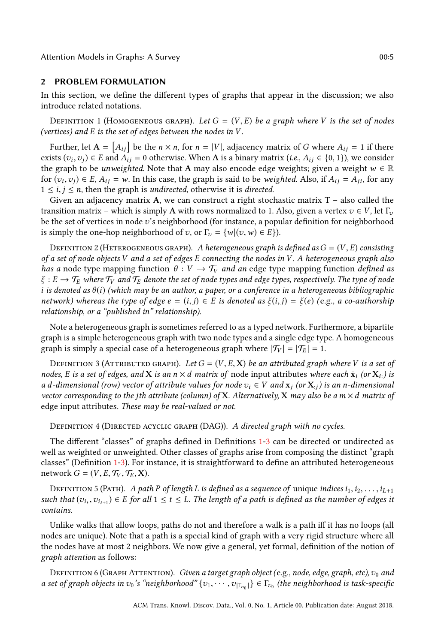Attention Models in Graphs: A Survey 00:5

#### <span id="page-4-0"></span>2 PROBLEM FORMULATION

In this section, we define the different types of graphs that appear in the discussion; we also introduce related notations.

<span id="page-4-1"></span>DEFINITION 1 (HOMOGENEOUS GRAPH). Let  $G = (V, E)$  be a graph where V is the set of nodes (vertices) and E is the set of edges between the nodes in V .

Further, let  $A = [A_{ij}]$  be the  $n \times n$ , for  $n = |V|$ , adjacency matrix of G where  $A_{ij} = 1$  if there exists  $(v_i, v_j) \in E$  and  $A_{ij} = 0$  otherwise. When A is a binary matrix (*i.e.*,  $A_{ij} \in \{0, 1\}$ ), we consider the graph to be *unusighted*. Note that A may also encode edge weights; given a weight  $w \in \mathbb{R}$ the graph to be *unweighted*. Note that A may also encode edge weights; given a weight  $w \in \mathbb{R}$ for  $(v_i, v_j) \in E$ ,  $A_{ij} = w$ . In this case, the graph is said to be weighted. Also, if  $A_{ij} = A_{ji}$ , for any  $1 \le i \le n$ , then the graph is *undirected*, otherwise it is *directed*  $1 \le i, j \le n$ , then the graph is *undirected*, otherwise it is *directed*.

Given an adjacency matrix A, we can construct a right stochastic matrix  $T -$  also called the transition matrix – which is simply A with rows normalized to 1. Also, given a vertex  $v \in V$ , let  $\Gamma_v$ be the set of vertices in node v's neighborhood (for instance, a popular definition for neighborhood is simply the one-hop neighborhood of v, or  $\Gamma_v = \{w | (v, w) \in E\}$ .

DEFINITION 2 (HETEROGENEOUS GRAPH). A heterogeneous graph is defined as  $G = (V, E)$  consisting of a set of node objects V and a set of edges E connecting the nodes in V . A heterogeneous graph also has a node type mapping function  $\theta : V \to \mathcal{T}_V$  and an edge type mapping function defined as  $\xi : E \to \mathcal{T}_E$  where  $\mathcal{T}_V$  and  $\mathcal{T}_E$  denote the set of node types and edge types, respectively. The type of node i is denoted as  $\theta(i)$  (which may be an author, a paper, or a conference in a heterogeneous bibliographic network) whereas the type of edge  $e = (i, j) \in E$  is denoted as  $\xi(i, j) = \xi(e)$  (e.g., a co-authorship relationship, or a "published in" relationship).

Note a heterogeneous graph is sometimes referred to as a typed network. Furthermore, a bipartite graph is a simple heterogeneous graph with two node types and a single edge type. A homogeneous graph is simply a special case of a heterogeneous graph where  $|\mathcal{T}_V| = |\mathcal{T}_E| = 1$ .

<span id="page-4-2"></span>DEFINITION 3 (ATTRIBUTED GRAPH). Let  $G = (V, E, \mathbf{X})$  be an attributed graph where V is a set of nodes, E is a set of edges, and X is an  $n \times d$  matrix of node input attributes where each  $\bar{\mathbf{x}}_i$  (or  $\mathbf{X}_i$ .) is a d-dimensional (row) vector of attribute values for node  $v_i \in V$  and  $x_i$  (or  $X_{i,j}$ ) is an n-dimensional vector corresponding to the jth attribute (column) of X. Alternatively, X may also be a  $m \times d$  matrix of edge input attributes. These may be real-valued or not.

DEFINITION 4 (DIRECTED ACYCLIC GRAPH (DAG)). A directed graph with no cycles.

The different "classes" of graphs defined in Definitions [1-](#page-4-1)[3](#page-4-2) can be directed or undirected as well as weighted or unweighted. Other classes of graphs arise from composing the distinct "graph classes" (Definition [1-](#page-4-1)[3\)](#page-4-2). For instance, it is straightforward to define an attributed heterogeneous network  $G = (V, E, \mathcal{T}_V, \mathcal{T}_E, \mathbf{X}).$ 

DEFINITION 5 (PATH). A path P of length L is defined as a sequence of unique indices  $i_1, i_2, \ldots, i_{L+1}$ such that  $(v_{i_t}, v_{i_{t+1}}) \in E$  for all  $1 \le t \le L$ . The length of a path is defined as the number of edges it contains contains.

Unlike walks that allow loops, paths do not and therefore a walk is a path iff it has no loops (all nodes are unique). Note that a path is a special kind of graph with a very rigid structure where all the nodes have at most 2 neighbors. We now give a general, yet formal, definition of the notion of graph attention as follows:

<span id="page-4-3"></span>DEFINITION 6 (GRAPH ATTENTION). Given a target graph object (e.g., node, edge, graph, etc),  $v_0$  and a set of graph objects in  $v_0$ 's "neighborhood"  $\{v_1, \cdots, v_{|\Gamma_{v_0}|}\} \in \Gamma_{v_0}$  (the neighborhood is task-specific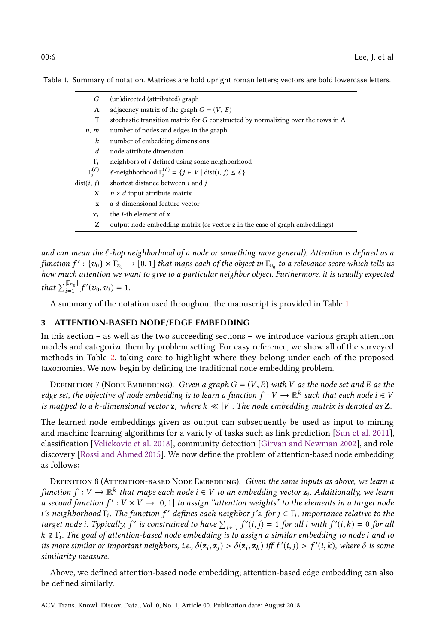<span id="page-5-1"></span>

| G                   | (un)directed (attributed) graph                                                         |
|---------------------|-----------------------------------------------------------------------------------------|
| A                   | adjacency matrix of the graph $G = (V, E)$                                              |
| т                   | stochastic transition matrix for G constructed by normalizing over the rows in A        |
| n, m                | number of nodes and edges in the graph                                                  |
| $\boldsymbol{k}$    | number of embedding dimensions                                                          |
| d                   | node attribute dimension                                                                |
| $\Gamma_i$          | neighbors of <i>i</i> defined using some neighborhood                                   |
| $\Gamma_i^{(\ell)}$ | $\ell$ -neighborhood $\Gamma_i^{(\ell)} = \{j \in V \mid \text{dist}(i, j) \leq \ell\}$ |
| dist(i, j)          | shortest distance between <i>i</i> and <i>j</i>                                         |
| X                   | $n \times d$ input attribute matrix                                                     |
| $\mathbf{x}$        | a d-dimensional feature vector                                                          |
| $x_i$               | the <i>i</i> -th element of <b>x</b>                                                    |
| z                   | output node embedding matrix (or vector z in the case of graph embeddings)              |

and can mean the  $\ell$ -hop neighborhood of a node or something more general). Attention is defined as a function  $f' : \{v_0\} \times \Gamma_{v_0} \to [0,1]$  that maps each of the object in  $\Gamma_{v_0}$  to a relevance score which tells us<br>how much attention we want to give to a particular neighbor object. Furthermore, it is usually expected how much attention we want to give to a particular neighbor object. Furthermore, it is usually expected that  $\sum_{i=1}^{|\Gamma_{v_0}|} f$  $'(v_0, v_i) = 1.$ 

A summary of the notation used throughout the manuscript is provided in Table [1.](#page-5-1)

## <span id="page-5-0"></span>3 ATTENTION-BASED NODE/EDGE EMBEDDING

In this section – as well as the two succeeding sections – we introduce various graph attention models and categorize them by problem setting. For easy reference, we show all of the surveyed methods in Table [2,](#page-6-0) taking care to highlight where they belong under each of the proposed taxonomies. We now begin by defining the traditional node embedding problem.

DEFINITION 7 (NODE EMBEDDING). Given a graph  $G = (V, E)$  with V as the node set and E as the edge set, the objective of node embedding is to learn a function  $f: V \to \mathbb{R}^k$  such that each node  $i \in V$ <br>is manned to a k-dimensional vector z, where  $k \ll |V|$ . The node embedding matrix is denoted as **Z** is mapped to a k-dimensional vector  $z_i$  where  $k \ll |V|$ . The node embedding matrix is denoted as Z.

The learned node embeddings given as output can subsequently be used as input to mining and machine learning algorithms for a variety of tasks such as link prediction [\[Sun et al.](#page-17-5) [2011\]](#page-17-5), classification [\[Velickovic et al.](#page-18-4) [2018\]](#page-18-4), community detection [\[Girvan and Newman](#page-16-8) [2002\]](#page-16-8), and role discovery [\[Rossi and Ahmed](#page-17-17) [2015\]](#page-17-17). We now define the problem of attention-based node embedding as follows:

DEFINITION 8 (ATTENTION-BASED NODE EMBEDDING). Given the same inputs as above, we learn a function  $f: V \to \mathbb{R}^k$  that maps each node  $i \in V$  to an embedding vector  $z_i$ . Additionally, we learn<br>a second function  $f': V \times V \to [0, 1]$  to assign "attention weights" to the elements in a target node a second function  $f' : V \times V \rightarrow [0, 1]$  to assign "attention weights" to the elements in a target node<br>i's neighborhood  $\Gamma$ . The function  $f'$  defines each neighbor i's for  $i \in \Gamma$ , importance relative to the i's neighborhood  $\Gamma_i$ . The function f' defines each neighbor j's, for  $j \in \Gamma_i$ , importance relative to the target node i Typically f' is constrained to have  $\sum_{i=1}^{\infty} f'(i,i) = 1$  for all i with  $f'(i,k) = 0$  for all target node i. Typically, f' is constrained to have  $\sum_{j\in\Gamma_i} f'(i,j) = 1$  for all i with  $f'(i,k) = 0$  for all  $k \notin \Gamma$ . The soal of attention-hased node embedding is to assign a similar embedding to node i and to target noae *i*. 1ypically, *f* is constrained to nave  $\sum_{j \in \Gamma_i} f(t, j) = 1$  for all *i* with *f* (*i*, *k*) = 0 for all *k* ∉  $\Gamma_i$ . The goal of attention-based node embedding is to assign a similar embedding to node *i* its more similar or important neighbors, i.e.,  $\delta(z_i, z_j) > \delta(z_i, z_k)$  iff  $f'(i, j) > f'(i, k)$ , where  $\delta$  is some similarity measure similarity measure.

Above, we defined attention-based node embedding; attention-based edge embedding can also be defined similarly.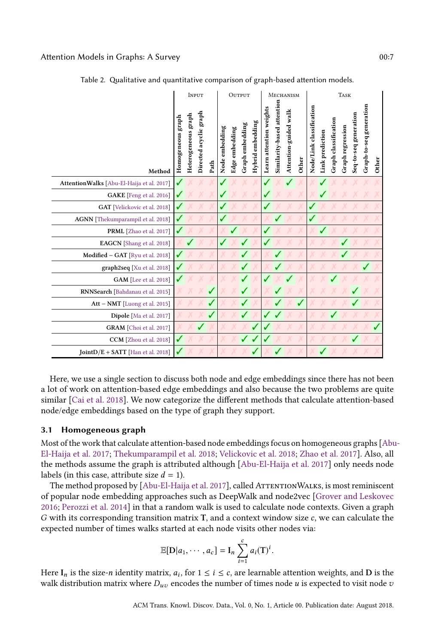<span id="page-6-0"></span>

|                                           | INPUT                  |                     |                        |      |                         |                | OUTPUT          |                  |                         | MECHANISM                  |                       |       |                          | <b>TASK</b>     |                      |                  |                       |                         |       |  |
|-------------------------------------------|------------------------|---------------------|------------------------|------|-------------------------|----------------|-----------------|------------------|-------------------------|----------------------------|-----------------------|-------|--------------------------|-----------------|----------------------|------------------|-----------------------|-------------------------|-------|--|
| Method                                    | $graph$<br>Homogeneous | Heterogeneous graph | Directed acyclic graph | Path | Node embedding          | Edge embedding | Graph embedding | Hybrid embedding | Learn attention weights | Similarity-based attention | Attention-guided walk | Other | Node/Link classification | Link prediction | Graph classification | Graph regression | Seq-to-seq generation | Graph-to-seq generation | Other |  |
| AttentionWalks [Abu-El-Haija et al. 2017] | ✓                      |                     |                        |      |                         |                |                 |                  |                         |                            |                       |       |                          |                 |                      |                  |                       |                         |       |  |
| GAKE [Feng et al. 2016]                   | $\sqrt{2}$             |                     |                        |      | $\overline{\mathbf{v}}$ |                |                 |                  | ✔                       |                            |                       |       |                          |                 |                      |                  |                       |                         |       |  |
| GAT [Velickovic et al. 2018]              | $\sqrt{}$              |                     |                        |      | $\boldsymbol{v}$        |                |                 |                  |                         |                            |                       |       |                          |                 |                      |                  |                       |                         |       |  |
| AGNN [Thekumparampil et al. 2018]         | √                      |                     |                        |      | V                       |                |                 |                  |                         |                            |                       |       |                          |                 |                      |                  |                       |                         |       |  |
| PRML [Zhao et al. 2017]                   |                        |                     |                        |      |                         |                |                 |                  | J                       |                            |                       |       |                          |                 |                      |                  |                       |                         |       |  |
| EAGCN [Shang et al. 2018]                 |                        |                     |                        |      |                         |                |                 |                  |                         |                            |                       |       |                          |                 |                      |                  |                       |                         |       |  |
| Modified - GAT [Ryu et al. 2018]          | √                      |                     |                        |      |                         |                |                 |                  |                         |                            |                       |       |                          |                 |                      |                  |                       |                         |       |  |
| graph2seq [Xu et al. 2018]                | $\checkmark$           |                     |                        |      |                         |                |                 |                  |                         |                            |                       |       |                          |                 |                      |                  |                       |                         |       |  |
| GAM [Lee et al. 2018]                     | $\sqrt{2}$             |                     |                        |      |                         |                |                 |                  |                         |                            |                       |       |                          |                 |                      |                  |                       |                         |       |  |
| RNNSearch [Bahdanau et al. 2015]          |                        |                     |                        | J    |                         |                |                 |                  |                         |                            |                       |       |                          |                 |                      |                  |                       |                         |       |  |
| Att - NMT [Luong et al. 2015]             |                        |                     |                        |      |                         |                |                 |                  |                         |                            |                       |       |                          |                 |                      |                  |                       |                         |       |  |
| Dipole [Ma et al. 2017]                   |                        |                     |                        |      |                         |                |                 |                  |                         |                            |                       |       |                          |                 |                      |                  |                       |                         |       |  |
| GRAM [Choi et al. 2017]                   |                        |                     |                        |      |                         |                |                 |                  | √                       |                            |                       |       |                          |                 |                      |                  |                       |                         |       |  |
| CCM [Zhou et al. 2018]                    | ✓                      |                     |                        |      |                         |                |                 |                  |                         |                            |                       |       |                          |                 |                      |                  |                       |                         |       |  |
| <b>JointD/E + SATT</b> [Han et al. 2018]  | √                      |                     |                        |      |                         |                |                 |                  |                         |                            |                       |       |                          |                 |                      |                  |                       |                         |       |  |

Table 2. Qualitative and quantitative comparison of graph-based attention models.

Here, we use a single section to discuss both node and edge embeddings since there has not been a lot of work on attention-based edge embeddings and also because the two problems are quite similar [\[Cai et al.](#page-16-15) [2018\]](#page-16-15). We now categorize the different methods that calculate attention-based node/edge embeddings based on the type of graph they support.

## 3.1 Homogeneous graph

Most of the work that calculate attention-based node embeddings focus on homogeneous graphs [\[Abu](#page-16-17)-[El-Haija et al.](#page-16-17) [2017;](#page-16-17) [Thekumparampil et al.](#page-17-18) [2018;](#page-17-18) [Velickovic et al.](#page-18-4) [2018;](#page-18-4) [Zhao et al.](#page-18-7) [2017\]](#page-18-7). Also, all the methods assume the graph is attributed although [\[Abu-El-Haija et al.](#page-16-17) [2017\]](#page-16-17) only needs node labels (in this case, attribute size  $d = 1$ ).

The method proposed by [\[Abu-El-Haija et al.](#page-16-17) [2017\]](#page-16-17), called ATTENTIONWALKS, is most reminiscent of popular node embedding approaches such as DeepWalk and node2vec [\[Grover and Leskovec](#page-16-18) [2016;](#page-16-18) [Perozzi et al.](#page-17-6) [2014\]](#page-17-6) in that a random walk is used to calculate node contexts. Given a graph G with its corresponding transition matrix <sup>T</sup>, and a context window size c, we can calculate the expected number of times walks started at each node visits other nodes via:

$$
\mathbb{E}[\mathbf{D}|a_1,\cdots,a_c]=\mathbf{I}_n\sum_{i=1}^c a_i(\mathbf{T})^i.
$$

Here  $I_n$  is the size-n identity matrix,  $a_i$ , for  $1 \le i \le c$ , are learnable attention weights, and D is the walk distribution matrix where D encodes the number of times node u is expected to visit node z walk distribution matrix where  $D_{uv}$  encodes the number of times node u is expected to visit node v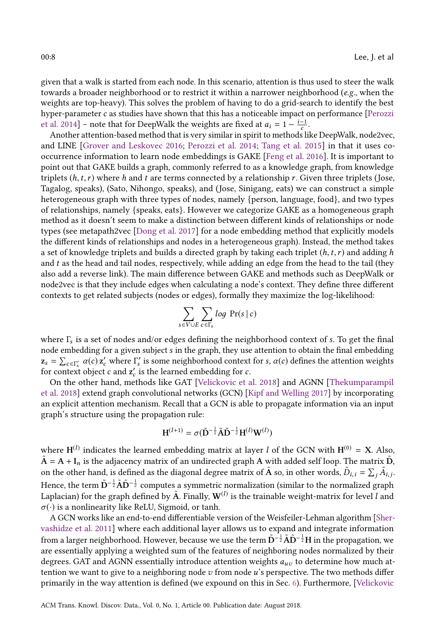given that a walk is started from each node. In this scenario, attention is thus used to steer the walk towards a broader neighborhood or to restrict it within a narrower neighborhood (e.g., when the weights are top-heavy). This solves the problem of having to do a grid-search to identify the best hyper-parameter  $c$  as studies have shown that this has a noticeable impact on performance [\[Perozzi](#page-17-6) [et al.](#page-17-6) [2014\]](#page-17-6) – note that for DeepWalk the weights are fixed at  $a_i = 1 - \frac{i-1}{c}$ .<br>Another attention-based method that is very similar in spirit to methods li

Another attention-based method that is very similar in spirit to methods like DeepWalk, node2vec, and LINE [\[Grover and Leskovec](#page-16-18) [2016;](#page-16-18) [Perozzi et al.](#page-17-6) [2014;](#page-17-6) [Tang et al.](#page-17-22) [2015\]](#page-17-22) in that it uses cooccurrence information to learn node embeddings is GAKE [\[Feng et al.](#page-16-14) [2016\]](#page-16-14). It is important to point out that GAKE builds a graph, commonly referred to as a knowledge graph, from knowledge triplets  $(h, t, r)$  where h and t are terms connected by a relationship r. Given three triplets (Jose, Tagalog, speaks), (Sato, Nihongo, speaks), and (Jose, Sinigang, eats) we can construct a simple heterogeneous graph with three types of nodes, namely {person, language, food}, and two types of relationships, namely {speaks, eats}. However we categorize GAKE as a homogeneous graph method as it doesn't seem to make a distinction between different kinds of relationships or node types (see metapath2vec [\[Dong et al.](#page-16-19) [2017\]](#page-16-19) for a node embedding method that explicitly models the different kinds of relationships and nodes in a heterogeneous graph). Instead, the method takes a set of knowledge triplets and builds a directed graph by taking each triplet  $(h, t, r)$  and adding h and t as the head and tail nodes, respectively, while adding an edge from the head to the tail (they also add a reverse link). The main difference between GAKE and methods such as DeepWalk or node2vec is that they include edges when calculating a node's context. They define three different contexts to get related subjects (nodes or edges), formally they maximize the log-likelihood:

$$
\sum_{s \in V \cup E} \sum_{c \in \Gamma_s} \log \Pr(s \mid c)
$$

where  $\Gamma_s$  is a set of nodes and/or edges defining the neighborhood context of s. To get the final<br>node embedding for a given subject s in the graph, they use attention to obtain the final embedding node embedding for a given subject s in the graph, they use attention to obtain the final embedding  $\mathbf{z}_s = \sum_{c \in \Gamma'_s} \alpha(c) \mathbf{z}'_c$  where  $\Gamma'_s$  is some neighborhood context for s,  $\alpha(c)$  defines the attention weights for context object c and  $\mathbf{z}'_s$  is the learned embedding for c for context object c and  $\mathbf{z}'_c$  is the learned embedding for c.<br>On the other hand, methods like GAT [Velickovic et a

On the other hand, methods like GAT [\[Velickovic et al.](#page-18-4) [2018\]](#page-18-4) and AGNN [\[Thekumparampil](#page-17-18) [et al.](#page-17-18) [2018\]](#page-17-18) extend graph convolutional networks (GCN) [\[Kipf and Welling](#page-17-15) [2017\]](#page-17-15) by incorporating an explicit attention mechanism. Recall that a GCN is able to propagate information via an input graph's structure using the propagation rule:

$$
\mathbf{H}^{(l+1)} = \sigma(\tilde{\mathbf{D}}^{-\frac{1}{2}}\tilde{\mathbf{A}}\tilde{\mathbf{D}}^{-\frac{1}{2}}\mathbf{H}^{(l)}\mathbf{W}^{(l)})
$$

where  $H^{(l)}$  indicates the learned embedding matrix at layer *l* of the GCN with  $H^{(0)} = X$ . Also,  $\tilde{A} = A + I_n$  is the adjacency matrix of an undirected graph A with added self loop. The matrix  $\tilde{D}$ ,  $\tilde{D}$ ,  $\tilde{D}$ ,  $\tilde{D}$ ,  $\tilde{D}$ ,  $\tilde{D}$ ,  $\tilde{D}$ ,  $\tilde{D}$ ,  $\tilde{D}$ ,  $\tilde{D}$ ,  $\tilde{D}$ ,  $\tilde{D}$ ,  $\tilde{$ on the other hand, is defined as the diagonal degree matrix of  $\tilde{A}$  so, in other words,  $\tilde{D}_{i,i} = \sum_{j} \tilde{A}_{i,j}$ . Hence, the term  $\tilde{\mathbf{D}}^{-\frac{1}{2}}\tilde{\mathbf{A}}\tilde{\mathbf{D}}^{-\frac{1}{2}}$  computes a symmetric normalization (similar to the normalized graph Laplacian) for the graph defined by  $\tilde{A}$ . Finally,  $W^{(l)}$  is the trainable weight-matrix for level  $l$  and  $\sigma(\cdot)$  is a nonlinearity like ReLU. Sigmoid, or tanh  $\sigma(\cdot)$  is a nonlinearity like ReLU, Sigmoid, or tanh.

A GCN works like an end-to-end differentiable version of the Weisfeiler-Lehman algorithm [\[Sher](#page-17-23)[vashidze et al.](#page-17-23) [2011\]](#page-17-23) where each additional layer allows us to expand and integrate information from a larger neighborhood. However, because we use the term  $\tilde{\bf D}^{-\frac{1}{2}}\tilde{\bf A}\tilde{\bf D}^{-\frac{1}{2}}{\bf H}$  in the propagation, we are essentially applying a weighted sum of the features of neighboring nodes normalized by their degrees. GAT and AGNN essentially introduce attention weights  $a_{uv}$  to determine how much attention we want to give to a neighboring node  $v$  from node  $u$ 's perspective. The two methods differ primarily in the way attention is defined (we expound on this in Sec. [6\)](#page-12-0). Furthermore, [\[Velickovic](#page-18-4)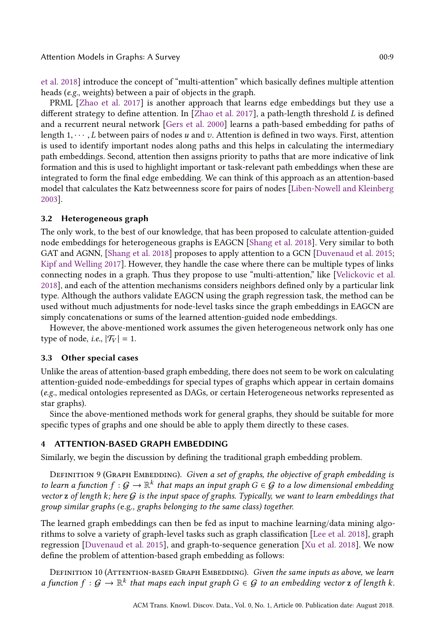[et al.](#page-18-4) [2018\]](#page-18-4) introduce the concept of "multi-attention" which basically defines multiple attention heads (e.g., weights) between a pair of objects in the graph.

PRML [\[Zhao et al.](#page-18-7) [2017\]](#page-18-7) is another approach that learns edge embeddings but they use a different strategy to define attention. In [\[Zhao et al.](#page-18-7) [2017\]](#page-18-7), a path-length threshold L is defined and a recurrent neural network [\[Gers et al.](#page-16-20) [2000\]](#page-16-20) learns a path-based embedding for paths of length  $1, \dots, L$  between pairs of nodes u and v. Attention is defined in two ways. First, attention is used to identify important nodes along paths and this helps in calculating the intermediary path embeddings. Second, attention then assigns priority to paths that are more indicative of link formation and this is used to highlight important or task-relevant path embeddings when these are integrated to form the final edge embedding. We can think of this approach as an attention-based model that calculates the Katz betweenness score for pairs of nodes [\[Liben-Nowell and Kleinberg](#page-17-24) [2003\]](#page-17-24).

## 3.2 Heterogeneous graph

The only work, to the best of our knowledge, that has been proposed to calculate attention-guided node embeddings for heterogeneous graphs is EAGCN [\[Shang et al.](#page-17-19) [2018\]](#page-17-19). Very similar to both GAT and AGNN, [\[Shang et al.](#page-17-19) [2018\]](#page-17-19) proposes to apply attention to a GCN [\[Duvenaud et al.](#page-16-1) [2015;](#page-16-1) [Kipf and Welling](#page-17-15) [2017\]](#page-17-15). However, they handle the case where there can be multiple types of links connecting nodes in a graph. Thus they propose to use "multi-attention," like [\[Velickovic et al.](#page-18-4) [2018\]](#page-18-4), and each of the attention mechanisms considers neighbors defined only by a particular link type. Although the authors validate EAGCN using the graph regression task, the method can be used without much adjustments for node-level tasks since the graph embeddings in EAGCN are simply concatenations or sums of the learned attention-guided node embeddings.

However, the above-mentioned work assumes the given heterogeneous network only has one type of node, *i.e.*,  $|\mathcal{T}_V| = 1$ .

## 3.3 Other special cases

Unlike the areas of attention-based graph embedding, there does not seem to be work on calculating attention-guided node-embeddings for special types of graphs which appear in certain domains (e.g., medical ontologies represented as DAGs, or certain Heterogeneous networks represented as star graphs).

Since the above-mentioned methods work for general graphs, they should be suitable for more specific types of graphs and one should be able to apply them directly to these cases.

## 4 ATTENTION-BASED GRAPH EMBEDDING

Similarly, we begin the discussion by defining the traditional graph embedding problem.

DEFINITION 9 (GRAPH EMBEDDING). Given a set of graphs, the objective of graph embedding is to learn a function  $f: \mathcal{G} \to \mathbb{R}^k$  that maps an input graph  $G \in \mathcal{G}$  to a low dimensional embedding<br>yector z of length k; here  $G$  is the input space of graphs. Invically we want to learn embeddings that vector  $z$  of length  $k$ ; here  $G$  is the input space of graphs. Typically, we want to learn embeddings that group similar graphs (e.g., graphs belonging to the same class) together.

The learned graph embeddings can then be fed as input to machine learning/data mining algorithms to solve a variety of graph-level tasks such as graph classification [\[Lee et al.](#page-17-13) [2018\]](#page-17-13), graph regression [\[Duvenaud et al.](#page-16-1) [2015\]](#page-16-1), and graph-to-sequence generation [\[Xu et al.](#page-18-8) [2018\]](#page-18-8). We now define the problem of attention-based graph embedding as follows:

DEFINITION 10 (ATTENTION-BASED GRAPH EMBEDDING). Given the same inputs as above, we learn a function  $f : \mathcal{G} \to \mathbb{R}^k$  that maps each input graph  $G \in \mathcal{G}$  to an embedding vector  $\mathbf{z}$  of length  $k$ .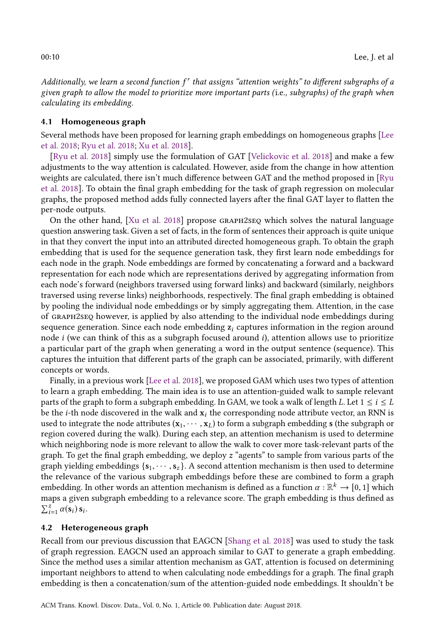Additionally, we learn a second function  $f'$  that assigns "attention weights" to different subgraphs of a<br>given graph to allow the model to prioritize more important parts (i.e., subgraphs) of the graph when given graph to allow the model to prioritize more important parts (i.e., subgraphs) of the graph when calculating its embedding.

## 4.1 Homogeneous graph

Several methods have been proposed for learning graph embeddings on homogeneous graphs [\[Lee](#page-17-13) [et al.](#page-17-13) [2018;](#page-17-13) [Ryu et al.](#page-17-20) [2018;](#page-17-20) [Xu et al.](#page-18-8) [2018\]](#page-18-8).

[\[Ryu et al.](#page-17-20) [2018\]](#page-17-20) simply use the formulation of GAT [\[Velickovic et al.](#page-18-4) [2018\]](#page-18-4) and make a few adjustments to the way attention is calculated. However, aside from the change in how attention weights are calculated, there isn't much difference between GAT and the method proposed in [\[Ryu](#page-17-20) [et al.](#page-17-20) [2018\]](#page-17-20). To obtain the final graph embedding for the task of graph regression on molecular graphs, the proposed method adds fully connected layers after the final GAT layer to flatten the per-node outputs.

On the other hand, [\[Xu et al.](#page-18-8) [2018\]](#page-18-8) propose graph2seq which solves the natural language question answering task. Given a set of facts, in the form of sentences their approach is quite unique in that they convert the input into an attributed directed homogeneous graph. To obtain the graph embedding that is used for the sequence generation task, they first learn node embeddings for each node in the graph. Node embeddings are formed by concatenating a forward and a backward representation for each node which are representations derived by aggregating information from each node's forward (neighbors traversed using forward links) and backward (similarly, neighbors traversed using reverse links) neighborhoods, respectively. The final graph embedding is obtained by pooling the individual node embeddings or by simply aggregating them. Attention, in the case of graph2seq however, is applied by also attending to the individual node embeddings during sequence generation. Since each node embedding  $z_i$  captures information in the region around node  $i$  (we can think of this as a subgraph focused around  $i$ ), attention allows use to prioritize a particular part of the graph when generating a word in the output sentence (sequence). This captures the intuition that different parts of the graph can be associated, primarily, with different concepts or words.

Finally, in a previous work [\[Lee et al.](#page-17-13) [2018\]](#page-17-13), we proposed GAM which uses two types of attention to learn a graph embedding. The main idea is to use an attention-guided walk to sample relevant parts of the graph to form a subgraph embedding. In GAM, we took a walk of length L. Let  $1 \le i \le L$ be the *i*-th node discovered in the walk and  $x_i$  the corresponding node attribute vector, an RNN is used to integrate the node attributes  $(x_1, \dots, x_k)$  to form a subgraph embedding s (the subgraph or region covered during the walk). During each step, an attention mechanism is used to determine which neighboring node is more relevant to allow the walk to cover more task-relevant parts of the graph. To get the final graph embedding, we deploy z "agents" to sample from various parts of the graph yielding embeddings  $\{s_1, \dots, s_z\}$ . A second attention mechanism is then used to determine the relevance of the various subgraph embeddings before these are combined to form a graph embedding. In other words an attention mechanism is defined as a function  $\alpha : \mathbb{R}^k \to [0, 1]$  which mans a given subgraph embedding to a relevance score. The graph embedding is thus defined as maps a given subgraph embedding to a relevance score. The graph embedding is thus defined as  $\sum_{i=1}^{z} \alpha(\mathbf{s}_i) \, \mathbf{s}_i.$ 

## 4.2 Heterogeneous graph

Recall from our previous discussion that EAGCN [\[Shang et al.](#page-17-19) [2018\]](#page-17-19) was used to study the task of graph regression. EAGCN used an approach similar to GAT to generate a graph embedding. Since the method uses a similar attention mechanism as GAT, attention is focused on determining important neighbors to attend to when calculating node embeddings for a graph. The final graph embedding is then a concatenation/sum of the attention-guided node embeddings. It shouldn't be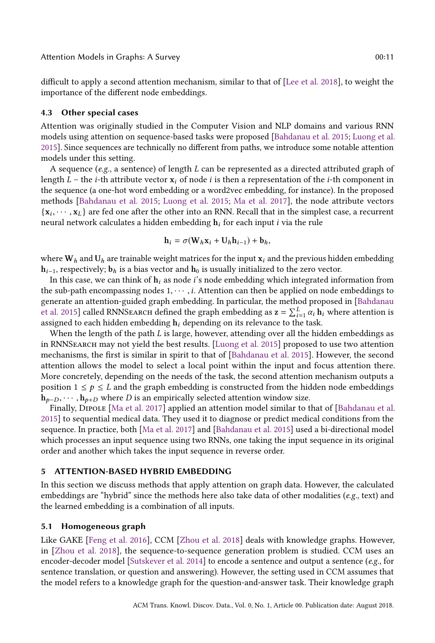difficult to apply a second attention mechanism, similar to that of [\[Lee et al.](#page-17-13) [2018\]](#page-17-13), to weight the importance of the different node embeddings.

#### 4.3 Other special cases

Attention was originally studied in the Computer Vision and NLP domains and various RNN models using attention on sequence-based tasks were proposed [\[Bahdanau et al.](#page-16-12) [2015;](#page-16-12) [Luong et al.](#page-17-21) [2015\]](#page-17-21). Since sequences are technically no different from paths, we introduce some notable attention models under this setting.

A sequence (e.g., a sentence) of length L can be represented as a directed attributed graph of length L – the *i*-th attribute vector  $x_i$  of node *i* is then a representation of the *i*-th component in the sequence (a one-hot word embedding or a word2vec embedding, for instance). In the proposed methods [\[Bahdanau et al.](#page-16-12) [2015;](#page-16-12) [Luong et al.](#page-17-21) [2015;](#page-17-21) [Ma et al.](#page-17-14) [2017\]](#page-17-14), the node attribute vectors  ${x_i, \dots, x_L}$  are fed one after the other into an RNN. Recall that in the simplest case, a recurrent<br>neural network calculates a hidden embedding **b**, for each input *i* via the rule neural network calculates a hidden embedding  $h_i$  for each input *i* via the rule

$$
\mathbf{h}_i = \sigma(\mathbf{W}_h \mathbf{x}_i + \mathbf{U}_h \mathbf{h}_{i-1}) + \mathbf{b}_h,
$$

where  $W_h$  and  $U_h$  are trainable weight matrices for the input  $x_i$  and the previous hidden embedding  $h_{i-1}$ , respectively;  $b_h$  is a bias vector and  $h_0$  is usually initialized to the zero vector.

In this case, we can think of  $h_i$  as node i's node embedding which integrated information from the sub-path encompassing nodes  $1, \dots, i$ . Attention can then be applied on node embeddings to generate an attention-guided graph embedding. In particular, the method proposed in [\[Bahdanau](#page-16-12) [et al.](#page-16-12) [2015\]](#page-16-12) called RNNSEARCH defined the graph embedding as  $z = \sum_{i=1}^{L} \alpha_i h_i$  where attention is<br>assigned to each hidden embedding hidenending on its relevance to the task assigned to each hidden embedding  $h_i$  depending on its relevance to the task.

When the length of the path  $L$  is large, however, attending over all the hidden embeddings as in RNNSearch may not yield the best results. [\[Luong et al.](#page-17-21) [2015\]](#page-17-21) proposed to use two attention mechanisms, the first is similar in spirit to that of [\[Bahdanau et al.](#page-16-12) [2015\]](#page-16-12). However, the second attention allows the model to select a local point within the input and focus attention there. More concretely, depending on the needs of the task, the second attention mechanism outputs a position  $1 \le p \le L$  and the graph embedding is constructed from the hidden node embeddings  $h_{p-D}, \cdots, h_{p+D}$  where D is an empirically selected attention window size.

Finally, DIPOLE [\[Ma et al.](#page-17-14) [2017\]](#page-17-14) applied an attention model similar to that of [\[Bahdanau et al.](#page-16-12) [2015\]](#page-16-12) to sequential medical data. They used it to diagnose or predict medical conditions from the sequence. In practice, both [\[Ma et al.](#page-17-14) [2017\]](#page-17-14) and [\[Bahdanau et al.](#page-16-12) [2015\]](#page-16-12) used a bi-directional model which processes an input sequence using two RNNs, one taking the input sequence in its original order and another which takes the input sequence in reverse order.

## <span id="page-10-0"></span>5 ATTENTION-BASED HYBRID EMBEDDING

In this section we discuss methods that apply attention on graph data. However, the calculated embeddings are "hybrid" since the methods here also take data of other modalities ( $e.g.,$  text) and the learned embedding is a combination of all inputs.

#### 5.1 Homogeneous graph

Like GAKE [\[Feng et al.](#page-16-14) [2016\]](#page-16-14), CCM [\[Zhou et al.](#page-18-9) [2018\]](#page-18-9) deals with knowledge graphs. However, in [\[Zhou et al.](#page-18-9) [2018\]](#page-18-9), the sequence-to-sequence generation problem is studied. CCM uses an encoder-decoder model [\[Sutskever et al.](#page-17-25) [2014\]](#page-17-25) to encode a sentence and output a sentence  $(e.g.,$  for sentence translation, or question and answering). However, the setting used in CCM assumes that the model refers to a knowledge graph for the question-and-answer task. Their knowledge graph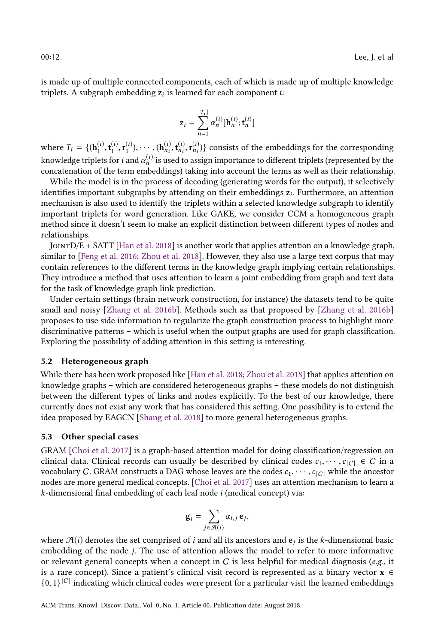is made up of multiple connected components, each of which is made up of multiple knowledge triplets. A subgraph embedding  $z_i$  is learned for each component *i*:

$$
\mathbf{z}_{i} = \sum_{n=1}^{|T_{i}|} \alpha_{n}^{(i)}[\mathbf{h}_{n}^{(i)}; \mathbf{t}_{n}^{(i)}]
$$

where  $T_i = \{(\mathbf{h}_1^{(i)}, \mathbf{t}_1^{(i)}, \cdots, (\mathbf{h}_{n_i}^{(i)}, \mathbf{t}_{n_i}^{(i)}, \mathbf{r}_{n_i}^{(i)})\}$  consists of the embeddings for the corresponding knowledge triplets for *i* and  $\alpha_n^{(i)}$  is used to assign importance to different triplets (represented by the concetenation of the term embeddings) taking into account the term as well as their relationship. concatenation of the term embeddings) taking into account the terms as well as their relationship.

While the model is in the process of decoding (generating words for the output), it selectively identifies important subgraphs by attending on their embeddings  $z_i$ . Furthermore, an attention<br>mechanism is also used to identify the triplets within a selected linewledge subgraph to identify mechanism is also used to identify the triplets within a selected knowledge subgraph to identify important triplets for word generation. Like GAKE, we consider CCM a homogeneous graph method since it doesn't seem to make an explicit distinction between different types of nodes and relationships.

JointD/E + SATT [\[Han et al.](#page-17-12) [2018\]](#page-17-12) is another work that applies attention on a knowledge graph, similar to [\[Feng et al.](#page-16-14) [2016;](#page-16-14) [Zhou et al.](#page-18-9) [2018\]](#page-18-9). However, they also use a large text corpus that may contain references to the different terms in the knowledge graph implying certain relationships. They introduce a method that uses attention to learn a joint embedding from graph and text data for the task of knowledge graph link prediction.

Under certain settings (brain network construction, for instance) the datasets tend to be quite small and noisy [\[Zhang et al.](#page-18-10) [2016b\]](#page-18-10). Methods such as that proposed by [\[Zhang et al.](#page-18-10) [2016b\]](#page-18-10) proposes to use side information to regularize the graph construction process to highlight more discriminative patterns – which is useful when the output graphs are used for graph classification. Exploring the possibility of adding attention in this setting is interesting.

## 5.2 Heterogeneous graph

While there has been work proposed like [\[Han et al.](#page-17-12) [2018;](#page-17-12) [Zhou et al.](#page-18-9) [2018\]](#page-18-9) that applies attention on knowledge graphs – which are considered heterogeneous graphs – these models do not distinguish between the different types of links and nodes explicitly. To the best of our knowledge, there currently does not exist any work that has considered this setting. One possibility is to extend the idea proposed by EAGCN [\[Shang et al.](#page-17-19) [2018\]](#page-17-19) to more general heterogeneous graphs.

#### 5.3 Other special cases

GRAM [\[Choi et al.](#page-16-13) [2017\]](#page-16-13) is a graph-based attention model for doing classification/regression on clinical data. Clinical records can usually be described by clinical codes  $c_1, \dots, c_{|C|} \in C$  in a vocabulary C. GRAM constructs a DAG whose leaves are the codes  $c_1, \dots, c_{|C|}$  while the ancestor nodes are more general medical concepts. [\[Choi et al.](#page-16-13) [2017\]](#page-16-13) uses an attention mechanism to learn a  $k$ -dimensional final embedding of each leaf node  $i$  (medical concept) via:

$$
\mathbf{g}_i = \sum_{j \in \mathcal{A}(i)} \alpha_{i,j} \, \mathbf{e}_j
$$

where  $\mathcal{A}(i)$  denotes the set comprised of *i* and all its ancestors and  $\mathbf{e}_j$  is the *k*-dimensional basic embedding of the node *i*. The use of attention allows the model to refer to more informative embedding of the node j. The use of attention allows the model to refer to more informative or relevant general concepts when a concept in  $C$  is less helpful for medical diagnosis (e.g., it is a rare concept). Since a patient's clinical visit record is represented as a binary vector  $x \in$  ${0, 1}^{|C|}$  indicating which clinical codes were present for a particular visit the learned embeddings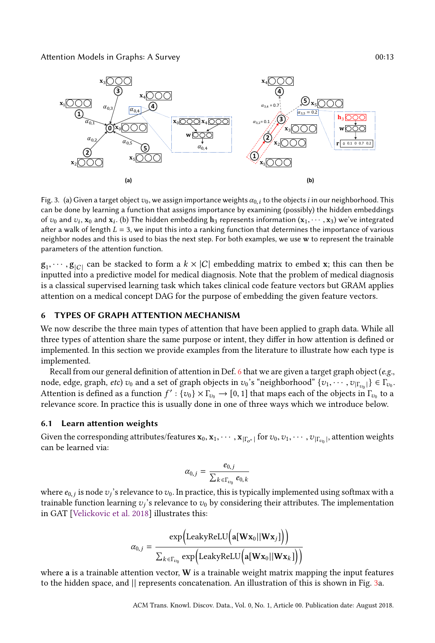Attention Models in Graphs: A Survey 00:13

<span id="page-12-1"></span>

Fig. 3. (a) Given a target object  $v_0$ , we assign importance weights  $\alpha_{0,i}$  to the objects i in our neighborhood. This can be done by learning a function that assigns importance by examining (possibly) the hidden embeddings of  $v_0$  and  $v_i$ ,  $x_0$  and  $x_i$ . (b) The hidden embedding  $h_3$  represents information  $(x_1, \dots, x_3)$  we've integrated of various of various  $f - 3$  we innut this into a rapking function that determines the importance of after a walk of length  $L = 3$ , we input this into a ranking function that determines the importance of various neighbor nodes and this is used to bias the next step. For both examples, we use w to represent the trainable parameters of the attention function.

 $g_1, \dots, g_{|C|}$  can be stacked to form a  $k \times |C|$  embedding matrix to embed x; this can then be<br>inputted into a predictive model for medical diagnosis. Note that the problem of medical diagnosis inputted into a predictive model for medical diagnosis. Note that the problem of medical diagnosis is a classical supervised learning task which takes clinical code feature vectors but GRAM applies attention on a medical concept DAG for the purpose of embedding the given feature vectors.

## <span id="page-12-0"></span>6 TYPES OF GRAPH ATTENTION MECHANISM

We now describe the three main types of attention that have been applied to graph data. While all three types of attention share the same purpose or intent, they differ in how attention is defined or implemented. In this section we provide examples from the literature to illustrate how each type is implemented.

Recall from our general definition of attention in Def. [6](#page-4-3) that we are given a target graph object ( $e.g.,$ node, edge, graph, *etc*)  $v_0$  and a set of graph objects in  $v_0$ 's "neighborhood"  $\{v_1, \dots, v_{|\Gamma_{v_0}|}\} \in \Gamma_{v_0}$ .<br>Attention is defined as a function  $f' : \{v_1\} \times \Gamma_{\longrightarrow}$  [0, 1] that maps each of the objects in  $\Gamma_{\longrightarrow}$ Attention is defined as a function  $f' : \{v_0\} \times \Gamma_{v_0} \to [0, 1]$  that maps each of the objects in  $\Gamma_{v_0}$  to a relevance score. In practice this is usually done in one of three wave which we introduce helow relevance score. In practice this is usually done in one of three ways which we introduce below.

#### 6.1 Learn attention weights

Given the corresponding attributes/features  $\mathbf{x}_0, \mathbf{x}_1, \cdots, \mathbf{x}_{|\Gamma_{o^*}|}$  for  $v_0, v_1, \cdots, v_{|\Gamma_{v_0}|}$ , attention weights can be learned via: | can be learned via:

$$
\alpha_{0,j} = \frac{e_{0,j}}{\sum_{k \in \Gamma_{v_0}} e_{0,k}}
$$

where  $e_{0,j}$  is node  $v_j$ 's relevance to  $v_0$ . In practice, this is typically implemented using softmax with a<br>trainable function learning  $v_i$ 's relevance to  $v_0$  by considering their attributes. The implementation trainable function learning  $v_j$ 's relevance to  $v_0$  by considering their attributes. The implementation<br>in GAT Welickovic et al. 2018] illustrates this: in GAT [\[Velickovic et al.](#page-18-4) [2018\]](#page-18-4) illustrates this:

$$
\alpha_{0,j} = \frac{\exp\Bigl(\text{LeakyReLU}\Bigl(\mathbf{a}[\mathbf{W}\mathbf{x}_0||\mathbf{W}\mathbf{x}_j]\Bigr)\Bigr)}{\sum_{k \in \Gamma_{v_0}} \exp\Bigl(\text{LeakyReLU}\Bigl(\mathbf{a}[\mathbf{W}\mathbf{x}_0||\mathbf{W}\mathbf{x}_k]\Bigr)\Bigr)}
$$

where  $a$  is a trainable attention vector,  $W$  is a trainable weight matrix mapping the input features to the hidden space, and || represents concatenation. An illustration of this is shown in Fig. [3a](#page-12-1).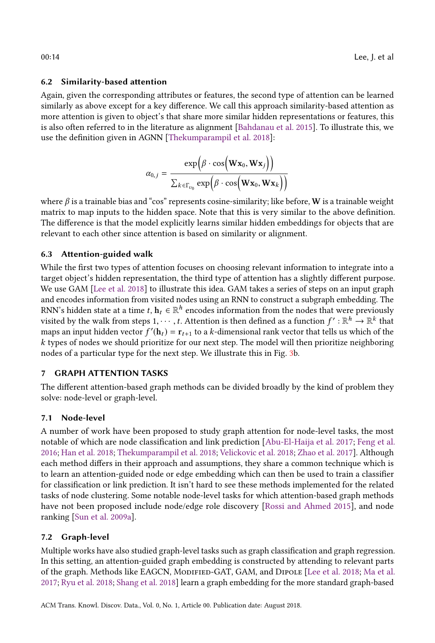## 6.2 Similarity-based attention

Again, given the corresponding attributes or features, the second type of attention can be learned similarly as above except for a key difference. We call this approach similarity-based attention as more attention is given to object's that share more similar hidden representations or features, this is also often referred to in the literature as alignment [\[Bahdanau et al.](#page-16-12) [2015\]](#page-16-12). To illustrate this, we use the definition given in AGNN [\[Thekumparampil et al.](#page-17-18) [2018\]](#page-17-18):

$$
\alpha_{0,j} = \frac{\exp(\beta \cdot \cos(\mathbf{W} \mathbf{x}_0, \mathbf{W} \mathbf{x}_j))}{\sum_{k \in \Gamma_{v_0}} \exp(\beta \cdot \cos(\mathbf{W} \mathbf{x}_0, \mathbf{W} \mathbf{x}_k))}
$$

where  $\beta$  is a trainable bias and "cos" represents cosine-similarity; like before, W is a trainable weight matrix to map inputs to the hidden space. Note that this is very similar to the above definition. The difference is that the model explicitly learns similar hidden embeddings for objects that are relevant to each other since attention is based on similarity or alignment.

## 6.3 Attention-guided walk

While the first two types of attention focuses on choosing relevant information to integrate into a target object's hidden representation, the third type of attention has a slightly different purpose. We use GAM [\[Lee et al.](#page-17-13) [2018\]](#page-17-13) to illustrate this idea. GAM takes a series of steps on an input graph and encodes information from visited nodes using an RNN to construct a subgraph embedding. The RNN's hidden state at a time  $t, h_t \in \mathbb{R}^h$  encodes information from the nodes that were previously<br>visited by the walk from steps 1 ..., the Attention is then defined as a function  $f' \cdot \mathbb{R}^h \to \mathbb{R}^k$  that visited by the walk from steps 1,  $\dots$ , t. Attention is then defined as a function  $f' : \mathbb{R}^h \to \mathbb{R}^k$  that maps an input hidden vector  $f'(h) = r$ , then kedimensional rank vector that tells us which of the maps an input hidden vector  $f'(\mathbf{h}_t) = \mathbf{r}_{t+1}$  to a k-dimensional rank vector that tells us which of the k types of nodes we should prioritize for our next step. The model will then prioritize neighboring k types of nodes we should prioritize for our next step. The model will then prioritize neighboring nodes of a particular type for the next step. We illustrate this in Fig. [3b](#page-12-1).

## <span id="page-13-0"></span>7 GRAPH ATTENTION TASKS

The different attention-based graph methods can be divided broadly by the kind of problem they solve: node-level or graph-level.

## 7.1 Node-level

A number of work have been proposed to study graph attention for node-level tasks, the most notable of which are node classification and link prediction [\[Abu-El-Haija et al.](#page-16-17) [2017;](#page-16-17) [Feng et al.](#page-16-14) [2016;](#page-16-14) [Han et al.](#page-17-12) [2018;](#page-17-12) [Thekumparampil et al.](#page-17-18) [2018;](#page-17-18) [Velickovic et al.](#page-18-4) [2018;](#page-18-4) [Zhao et al.](#page-18-7) [2017\]](#page-18-7). Although each method differs in their approach and assumptions, they share a common technique which is to learn an attention-guided node or edge embedding which can then be used to train a classifier for classification or link prediction. It isn't hard to see these methods implemented for the related tasks of node clustering. Some notable node-level tasks for which attention-based graph methods have not been proposed include node/edge role discovery [\[Rossi and Ahmed](#page-17-17) [2015\]](#page-17-17), and node ranking [\[Sun et al.](#page-17-26) [2009a\]](#page-17-26).

## 7.2 Graph-level

Multiple works have also studied graph-level tasks such as graph classification and graph regression. In this setting, an attention-guided graph embedding is constructed by attending to relevant parts of the graph. Methods like EAGCN, Modified-GAT, GAM, and Dipole [\[Lee et al.](#page-17-13) [2018;](#page-17-13) [Ma et al.](#page-17-14) [2017;](#page-17-14) [Ryu et al.](#page-17-20) [2018;](#page-17-20) [Shang et al.](#page-17-19) [2018\]](#page-17-19) learn a graph embedding for the more standard graph-based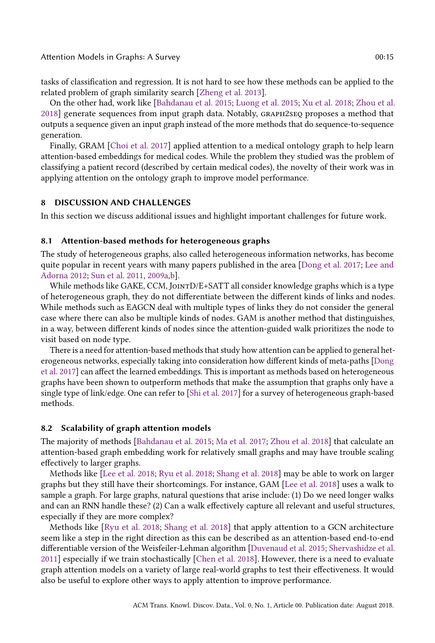tasks of classification and regression. It is not hard to see how these methods can be applied to the related problem of graph similarity search [\[Zheng et al.](#page-18-11) [2013\]](#page-18-11).

On the other had, work like [\[Bahdanau et al.](#page-16-12) [2015;](#page-16-12) [Luong et al.](#page-17-21) [2015;](#page-17-21) [Xu et al.](#page-18-8) [2018;](#page-18-8) [Zhou et al.](#page-18-9) [2018\]](#page-18-9) generate sequences from input graph data. Notably, graph2seq proposes a method that outputs a sequence given an input graph instead of the more methods that do sequence-to-sequence generation.

Finally, GRAM [\[Choi et al.](#page-16-13) [2017\]](#page-16-13) applied attention to a medical ontology graph to help learn attention-based embeddings for medical codes. While the problem they studied was the problem of classifying a patient record (described by certain medical codes), the novelty of their work was in applying attention on the ontology graph to improve model performance.

## <span id="page-14-0"></span>8 DISCUSSION AND CHALLENGES

In this section we discuss additional issues and highlight important challenges for future work.

#### 8.1 Attention-based methods for heterogeneous graphs

The study of heterogeneous graphs, also called heterogeneous information networks, has become quite popular in recent years with many papers published in the area [\[Dong et al.](#page-16-19) [2017;](#page-16-19) [Lee and](#page-17-27) [Adorna](#page-17-27) [2012;](#page-17-27) [Sun et al.](#page-17-5) [2011,](#page-17-5) [2009a](#page-17-26)[,b\]](#page-17-28).

While methods like GAKE, CCM, JOINT $D/E+SATT$  all consider knowledge graphs which is a type of heterogeneous graph, they do not differentiate between the different kinds of links and nodes. While methods such as EAGCN deal with multiple types of links they do not consider the general case where there can also be multiple kinds of nodes. GAM is another method that distinguishes, in a way, between different kinds of nodes since the attention-guided walk prioritizes the node to visit based on node type.

There is a need for attention-based methods that study how attention can be applied to general heterogeneous networks, especially taking into consideration how different kinds of meta-paths [\[Dong](#page-16-19) [et al.](#page-16-19) [2017\]](#page-16-19) can affect the learned embeddings. This is important as methods based on heterogeneous graphs have been shown to outperform methods that make the assumption that graphs only have a single type of link/edge. One can refer to [\[Shi et al.](#page-17-29) [2017\]](#page-17-29) for a survey of heterogeneous graph-based methods.

#### 8.2 Scalability of graph attention models

The majority of methods [\[Bahdanau et al.](#page-16-12) [2015;](#page-16-12) [Ma et al.](#page-17-14) [2017;](#page-17-14) [Zhou et al.](#page-18-9) [2018\]](#page-18-9) that calculate an attention-based graph embedding work for relatively small graphs and may have trouble scaling effectively to larger graphs.

Methods like [\[Lee et al.](#page-17-13) [2018;](#page-17-13) [Ryu et al.](#page-17-20) [2018;](#page-17-20) [Shang et al.](#page-17-19) [2018\]](#page-17-19) may be able to work on larger graphs but they still have their shortcomings. For instance, GAM [\[Lee et al.](#page-17-13) [2018\]](#page-17-13) uses a walk to sample a graph. For large graphs, natural questions that arise include: (1) Do we need longer walks and can an RNN handle these? (2) Can a walk effectively capture all relevant and useful structures, especially if they are more complex?

Methods like [\[Ryu et al.](#page-17-20) [2018;](#page-17-20) [Shang et al.](#page-17-19) [2018\]](#page-17-19) that apply attention to a GCN architecture seem like a step in the right direction as this can be described as an attention-based end-to-end differentiable version of the Weisfeiler-Lehman algorithm [\[Duvenaud et al.](#page-16-1) [2015;](#page-16-1) [Shervashidze et al.](#page-17-23) [2011\]](#page-17-23) especially if we train stochastically [\[Chen et al.](#page-16-21) [2018\]](#page-16-21). However, there is a need to evaluate graph attention models on a variety of large real-world graphs to test their effectiveness. It would also be useful to explore other ways to apply attention to improve performance.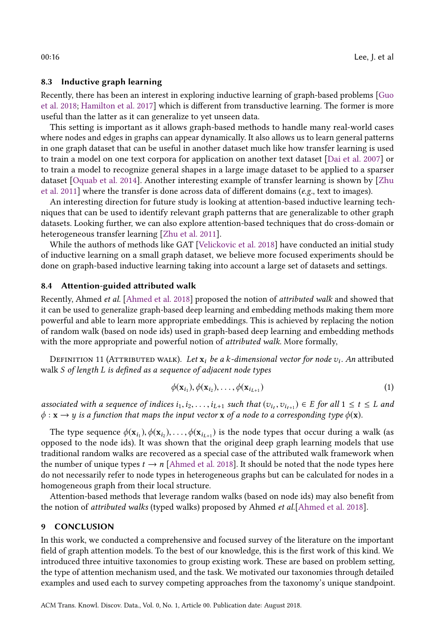## 8.3 Inductive graph learning

Recently, there has been an interest in exploring inductive learning of graph-based problems [\[Guo](#page-16-22) [et al.](#page-16-22) [2018;](#page-16-22) [Hamilton et al.](#page-16-23) [2017\]](#page-16-23) which is different from transductive learning. The former is more useful than the latter as it can generalize to yet unseen data.

This setting is important as it allows graph-based methods to handle many real-world cases where nodes and edges in graphs can appear dynamically. It also allows us to learn general patterns in one graph dataset that can be useful in another dataset much like how transfer learning is used to train a model on one text corpora for application on another text dataset [\[Dai et al.](#page-16-24) [2007\]](#page-16-24) or to train a model to recognize general shapes in a large image dataset to be applied to a sparser dataset [\[Oquab et al.](#page-17-30) [2014\]](#page-17-30). Another interesting example of transfer learning is shown by [\[Zhu](#page-18-12) [et al.](#page-18-12) [2011\]](#page-18-12) where the transfer is done across data of different domains (e.g., text to images).

An interesting direction for future study is looking at attention-based inductive learning techniques that can be used to identify relevant graph patterns that are generalizable to other graph datasets. Looking further, we can also explore attention-based techniques that do cross-domain or heterogeneous transfer learning [\[Zhu et al.](#page-18-12) [2011\]](#page-18-12).

While the authors of methods like GAT [\[Velickovic et al.](#page-18-4) [2018\]](#page-18-4) have conducted an initial study of inductive learning on a small graph dataset, we believe more focused experiments should be done on graph-based inductive learning taking into account a large set of datasets and settings.

## 8.4 Attention-guided attributed walk

Recently, Ahmed et al. [\[Ahmed et al.](#page-16-25) [2018\]](#page-16-25) proposed the notion of attributed walk and showed that it can be used to generalize graph-based deep learning and embedding methods making them more powerful and able to learn more appropriate embeddings. This is achieved by replacing the notion of random walk (based on node ids) used in graph-based deep learning and embedding methods with the more appropriate and powerful notion of attributed walk. More formally,

DEFINITION 11 (ATTRIBUTED WALK). *Let*  $\mathbf{x}_i$  *be a k-dimensional vector for node*  $v_i$ *. An* attributed<br>Jk S of length L is defined as a sequence of adjacent node types walk S of length L is defined as a sequence of adjacent node types

$$
\phi(\mathbf{x}_{i_1}), \phi(\mathbf{x}_{i_2}), \dots, \phi(\mathbf{x}_{i_{L+1}})
$$
\n(1)

associated with a sequence of indices  $i_1, i_2, \ldots, i_{L+1}$  such that  $(v_i, v_{i_{t+1}}) \in E$  for all  $1 \le t \le L$  and  $\phi : \mathbf{y} \to \mathbf{y}$  is a function that maps the input vector **x** of a node to a corresponding type  $\phi(\mathbf{x})$  $\phi: \mathbf{x} \to y$  is a function that maps the input vector **x** of a node to a corresponding type  $\phi(\mathbf{x})$ .

The type sequence  $\phi(\mathbf{x}_{i_1}), \phi(\mathbf{x}_{i_2}), \dots, \phi(\mathbf{x}_{i_{L+1}})$  is the node types that occur during a walk (as opposed to the node ids). It was shown that the original deep graph learning models that use traditional random walks are recovered as a special case of the attributed walk framework when the number of unique types  $t \to n$  [\[Ahmed et al.](#page-16-25) [2018\]](#page-16-25). It should be noted that the node types here do not necessarily refer to node types in heterogeneous graphs but can be calculated for nodes in a homogeneous graph from their local structure.

Attention-based methods that leverage random walks (based on node ids) may also benefit from the notion of attributed walks (typed walks) proposed by Ahmed et al.[\[Ahmed et al.](#page-16-25) [2018\]](#page-16-25).

#### <span id="page-15-0"></span>9 CONCLUSION

In this work, we conducted a comprehensive and focused survey of the literature on the important field of graph attention models. To the best of our knowledge, this is the first work of this kind. We introduced three intuitive taxonomies to group existing work. These are based on problem setting, the type of attention mechanism used, and the task. We motivated our taxonomies through detailed examples and used each to survey competing approaches from the taxonomy's unique standpoint.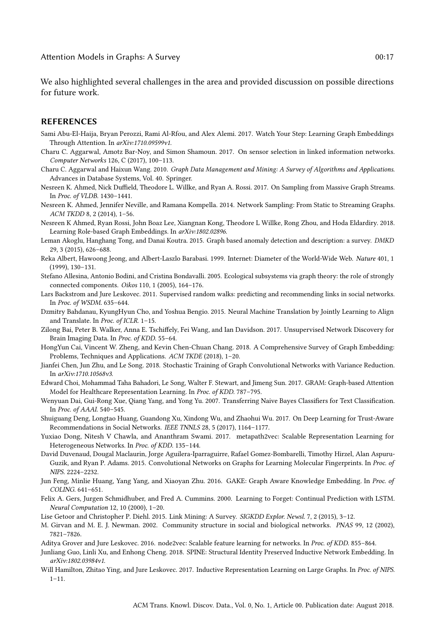We also highlighted several challenges in the area and provided discussion on possible directions for future work.

### REFERENCES

- <span id="page-16-17"></span>Sami Abu-El-Haija, Bryan Perozzi, Rami Al-Rfou, and Alex Alemi. 2017. Watch Your Step: Learning Graph Embeddings Through Attention. In arXiv:1710.09599v1.
- <span id="page-16-4"></span>Charu C. Aggarwal, Amotz Bar-Noy, and Simon Shamoun. 2017. On sensor selection in linked information networks. Computer Networks 126, C (2017), 100–113.
- <span id="page-16-7"></span>Charu C. Aggarwal and Haixun Wang. 2010. Graph Data Management and Mining: A Survey of Algorithms and Applications. Advances in Database Systems, Vol. 40. Springer.
- <span id="page-16-11"></span>Nesreen K. Ahmed, Nick Duffield, Theodore L. Willke, and Ryan A. Rossi. 2017. On Sampling from Massive Graph Streams. In Proc. of VLDB. 1430–1441.
- <span id="page-16-10"></span>Nesreen K. Ahmed, Jennifer Neville, and Ramana Kompella. 2014. Network Sampling: From Static to Streaming Graphs. ACM TKDD 8, 2 (2014), 1–56.
- <span id="page-16-25"></span>Nesreen K Ahmed, Ryan Rossi, John Boaz Lee, Xiangnan Kong, Theodore L Willke, Rong Zhou, and Hoda Eldardiry. 2018. Learning Role-based Graph Embeddings. In arXiv:1802.02896.
- <span id="page-16-5"></span>Leman Akoglu, Hanghang Tong, and Danai Koutra. 2015. Graph based anomaly detection and description: a survey. DMKD 29, 3 (2015), 626–688.
- <span id="page-16-0"></span>Reka Albert, Hawoong Jeong, and Albert-Laszlo Barabasi. 1999. Internet: Diameter of the World-Wide Web. Nature 401, 1 (1999), 130–131.
- <span id="page-16-6"></span>Stefano Allesina, Antonio Bodini, and Cristina Bondavalli. 2005. Ecological subsystems via graph theory: the role of strongly connected components. Oikos 110, 1 (2005), 164–176.
- <span id="page-16-2"></span>Lars Backstrom and Jure Leskovec. 2011. Supervised random walks: predicting and recommending links in social networks. In Proc. of WSDM. 635–644.
- <span id="page-16-12"></span>Dzmitry Bahdanau, KyungHyun Cho, and Yoshua Bengio. 2015. Neural Machine Translation by Jointly Learning to Align and Translate. In Proc. of ICLR. 1–15.
- <span id="page-16-9"></span>Zilong Bai, Peter B. Walker, Anna E. Tschiffely, Fei Wang, and Ian Davidson. 2017. Unsupervised Network Discovery for Brain Imaging Data. In Proc. of KDD. 55–64.
- <span id="page-16-15"></span>HongYun Cai, Vincent W. Zheng, and Kevin Chen-Chuan Chang. 2018. A Comprehensive Survey of Graph Embedding: Problems, Techniques and Applications. ACM TKDE (2018), 1–20.
- <span id="page-16-21"></span>Jianfei Chen, Jun Zhu, and Le Song. 2018. Stochastic Training of Graph Convolutional Networks with Variance Reduction. In arXiv:1710.10568v3.
- <span id="page-16-13"></span>Edward Choi, Mohammad Taha Bahadori, Le Song, Walter F. Stewart, and Jimeng Sun. 2017. GRAM: Graph-based Attention Model for Healthcare Representation Learning. In Proc. of KDD. 787–795.
- <span id="page-16-24"></span>Wenyuan Dai, Gui-Rong Xue, Qiang Yang, and Yong Yu. 2007. Transferring Naive Bayes Classifiers for Text Classification. In Proc. of AAAI. 540–545.
- <span id="page-16-3"></span>Shuiguang Deng, Longtao Huang, Guandong Xu, Xindong Wu, and Zhaohui Wu. 2017. On Deep Learning for Trust-Aware Recommendations in Social Networks. IEEE TNNLS 28, 5 (2017), 1164–1177.
- <span id="page-16-19"></span>Yuxiao Dong, Nitesh V Chawla, and Ananthram Swami. 2017. metapath2vec: Scalable Representation Learning for Heterogeneous Networks. In Proc. of KDD. 135–144.
- <span id="page-16-1"></span>David Duvenaud, Dougal Maclaurin, Jorge Aguilera-Iparraguirre, Rafael Gomez-Bombarelli, Timothy Hirzel, Alan Aspuru-Guzik, and Ryan P. Adams. 2015. Convolutional Networks on Graphs for Learning Molecular Fingerprints. In Proc. of NIPS. 2224–2232.
- <span id="page-16-14"></span>Jun Feng, Minlie Huang, Yang Yang, and Xiaoyan Zhu. 2016. GAKE: Graph Aware Knowledge Embedding. In Proc. of COLING. 641–651.
- <span id="page-16-20"></span>Felix A. Gers, Jurgen Schmidhuber, and Fred A. Cummins. 2000. Learning to Forget: Continual Prediction with LSTM. Neural Computation 12, 10 (2000), 1–20.
- <span id="page-16-16"></span>Lise Getoor and Christopher P. Diehl. 2015. Link Mining: A Survey. SIGKDD Explor. Newsl. 7, 2 (2015), 3–12.
- <span id="page-16-8"></span>M. Girvan and M. E. J. Newman. 2002. Community structure in social and biological networks. PNAS 99, 12 (2002), 7821–7826.
- <span id="page-16-18"></span>Aditya Grover and Jure Leskovec. 2016. node2vec: Scalable feature learning for networks. In Proc. of KDD. 855–864.
- <span id="page-16-22"></span>Junliang Guo, Linli Xu, and Enhong Cheng. 2018. SPINE: Structural Identity Preserved Inductive Network Embedding. In arXiv:1802.03984v1.
- <span id="page-16-23"></span>Will Hamilton, Zhitao Ying, and Jure Leskovec. 2017. Inductive Representation Learning on Large Graphs. In Proc. of NIPS.  $1 - 11.$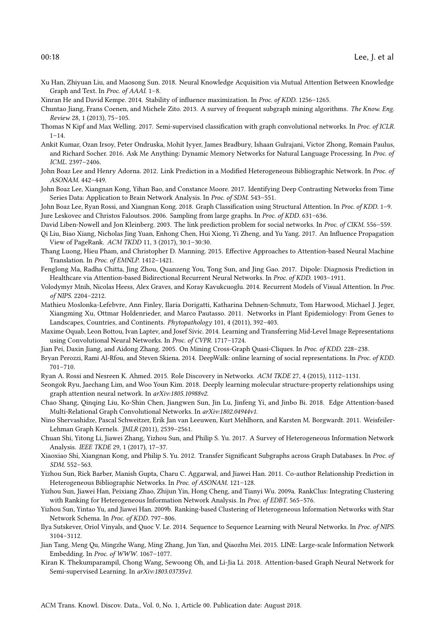- <span id="page-17-12"></span><span id="page-17-0"></span>Xu Han, Zhiyuan Liu, and Maosong Sun. 2018. Neural Knowledge Acquisition via Mutual Attention Between Knowledge Graph and Text. In Proc. of AAAI. 1–8.
- <span id="page-17-7"></span>Xinran He and David Kempe. 2014. Stability of influence maximization. In Proc. of KDD. 1256–1265.
- <span id="page-17-16"></span>Chuntao Jiang, Frans Coenen, and Michele Zito. 2013. A survey of frequent subgraph mining algorithms. The Know. Eng. Review 28, 1 (2013), 75–105.
- <span id="page-17-15"></span>Thomas N Kipf and Max Welling. 2017. Semi-supervised classification with graph convolutional networks. In Proc. of ICLR.  $1 - 14$
- <span id="page-17-11"></span>Ankit Kumar, Ozan Irsoy, Peter Ondruska, Mohit Iyyer, James Bradbury, Ishaan Gulrajani, Victor Zhong, Romain Paulus, and Richard Socher. 2016. Ask Me Anything: Dynamic Memory Networks for Natural Language Processing. In Proc. of ICML. 2397–2406.
- <span id="page-17-27"></span>John Boaz Lee and Henry Adorna. 2012. Link Prediction in a Modified Heterogeneous Bibliographic Network. In Proc. of ASONAM. 442–449.
- <span id="page-17-2"></span>John Boaz Lee, Xiangnan Kong, Yihan Bao, and Constance Moore. 2017. Identifying Deep Contrasting Networks from Time Series Data: Application to Brain Network Analysis. In Proc. of SDM. 543–551.

<span id="page-17-13"></span><span id="page-17-8"></span>John Boaz Lee, Ryan Rossi, and Xiangnan Kong. 2018. Graph Classification using Structural Attention. In Proc. of KDD. 1-9. Jure Leskovec and Christos Faloutsos. 2006. Sampling from large graphs. In Proc. of KDD. 631–636.

<span id="page-17-24"></span>David Liben-Nowell and Jon Kleinberg. 2003. The link prediction problem for social networks. In Proc. of CIKM. 556–559.

<span id="page-17-3"></span>Qi Liu, Biao Xiang, Nicholas Jing Yuan, Enhong Chen, Hui Xiong, Yi Zheng, and Yu Yang. 2017. An Influence Propagation View of PageRank. ACM TKDD 11, 3 (2017), 30:1–30:30.

- <span id="page-17-21"></span>Thang Luong, Hieu Pham, and Christopher D. Manning. 2015. Effective Approaches to Attention-based Neural Machine Translation. In Proc. of EMNLP. 1412–1421.
- <span id="page-17-14"></span>Fenglong Ma, Radha Chitta, Jing Zhou, Quanzeng You, Tong Sun, and Jing Gao. 2017. Dipole: Diagnosis Prediction in Healthcare via Attention-based Bidirectional Recurrent Neural Networks. In Proc. of KDD. 1903–1911.
- <span id="page-17-10"></span>Volodymyr Mnih, Nicolas Heess, Alex Graves, and Koray Kavukcuoglu. 2014. Recurrent Models of Visual Attention. In Proc. of NIPS. 2204–2212.
- <span id="page-17-4"></span>Mathieu Moslonka-Lefebvre, Ann Finley, Ilaria Dorigatti, Katharina Dehnen-Schmutz, Tom Harwood, Michael J. Jeger, Xiangming Xu, Ottmar Holdenrieder, and Marco Pautasso. 2011. Networks in Plant Epidemiology: From Genes to Landscapes, Countries, and Continents. Phytopathology 101, 4 (2011), 392–403.
- <span id="page-17-30"></span>Maxime Oquab, Leon Bottou, Ivan Laptev, and Josef Sivic. 2014. Learning and Transferring Mid-Level Image Representations using Convolutional Neural Networks. In Proc. of CVPR. 1717–1724.
- <span id="page-17-1"></span>Jian Pei, Daxin Jiang, and Aidong Zhang. 2005. On Mining Cross-Graph Quasi-Cliques. In Proc. of KDD. 228–238.
- <span id="page-17-6"></span>Bryan Perozzi, Rami Al-Rfou, and Steven Skiena. 2014. DeepWalk: online learning of social representations. In Proc. of KDD. 701–710.
- <span id="page-17-17"></span>Ryan A. Rossi and Nesreen K. Ahmed. 2015. Role Discovery in Networks. ACM TKDE 27, 4 (2015), 1112–1131.
- <span id="page-17-20"></span>Seongok Ryu, Jaechang Lim, and Woo Youn Kim. 2018. Deeply learning molecular structure-property relationships using graph attention neural network. In arXiv:1805.10988v2.
- <span id="page-17-19"></span>Chao Shang, Qinqing Liu, Ko-Shin Chen, Jiangwen Sun, Jin Lu, Jinfeng Yi, and Jinbo Bi. 2018. Edge Attention-based Multi-Relational Graph Convolutional Networks. In arXiv:1802.04944v1.
- <span id="page-17-23"></span>Nino Shervashidze, Pascal Schweitzer, Erik Jan van Leeuwen, Kurt Mehlhorn, and Karsten M. Borgwardt. 2011. Weisfeiler-Lehman Graph Kernels. JMLR (2011), 2539–2561.
- <span id="page-17-29"></span>Chuan Shi, Yitong Li, Jiawei Zhang, Yizhou Sun, and Philip S. Yu. 2017. A Survey of Heterogeneous Information Network Analysis. IEEE TKDE 29, 1 (2017), 17–37.
- <span id="page-17-9"></span>Xiaoxiao Shi, Xiangnan Kong, and Philip S. Yu. 2012. Transfer Significant Subgraphs across Graph Databases. In Proc. of SDM. 552–563.
- <span id="page-17-5"></span>Yizhou Sun, Rick Barber, Manish Gupta, Charu C. Aggarwal, and Jiawei Han. 2011. Co-author Relationship Prediction in Heterogeneous Bibliographic Networks. In Proc. of ASONAM. 121–128.
- <span id="page-17-26"></span>Yizhou Sun, Jiawei Han, Peixiang Zhao, Zhijun Yin, Hong Cheng, and Tianyi Wu. 2009a. RankClus: Integrating Clustering with Ranking for Heterogeneous Information Network Analysis. In Proc. of EDBT. 565–576.
- <span id="page-17-28"></span>Yizhou Sun, Yintao Yu, and Jiawei Han. 2009b. Ranking-based Clustering of Heterogeneous Information Networks with Star Network Schema. In Proc. of KDD. 797–806.
- <span id="page-17-25"></span>Ilya Sutskever, Oriol Vinyals, and Quoc V. Le. 2014. Sequence to Sequence Learning with Neural Networks. In Proc. of NIPS. 3104–3112.
- <span id="page-17-22"></span>Jian Tang, Meng Qu, Mingzhe Wang, Ming Zhang, Jun Yan, and Qiaozhu Mei. 2015. LINE: Large-scale Information Network Embedding. In Proc. of WWW. 1067–1077.
- <span id="page-17-18"></span>Kiran K. Thekumparampil, Chong Wang, Sewoong Oh, and Li-Jia Li. 2018. Attention-based Graph Neural Network for Semi-supervised Learning. In arXiv:1803.03735v1.